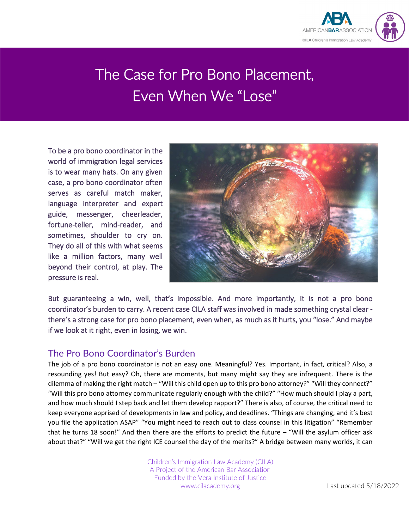

# The Case for Pro Bono Placement, Even When We "Lose"

To be a pro bono coordinator in the world of immigration legal services is to wear many hats. On any given case, a pro bono coordinator often serves as careful match maker, language interpreter and expert guide, messenger, cheerleader, fortune-teller, mind-reader, and sometimes, shoulder to cry on. They do all of this with what seems like a million factors, many well beyond their control, at play. The pressure is real.



But guaranteeing a win, well, that's impossible. And more importantly, it is not a pro bono coordinator's burden to carry. A recent case CILA staff was involved in made something crystal clear there's a strong case for pro bono placement, even when, as much as it hurts, you "lose." And maybe if we look at it right, even in losing, we win.

#### The Pro Bono Coordinator's Burden

The job of a pro bono coordinator is not an easy one. Meaningful? Yes. Important, in fact, critical? Also, a resounding yes! But easy? Oh, there are moments, but many might say they are infrequent. There is the dilemma of making the right match – "Will this child open up to this pro bono attorney?" "Will they connect?" "Will this pro bono attorney communicate regularly enough with the child?" "How much should I play a part, and how much should I step back and let them develop rapport?" There is also, of course, the critical need to keep everyone apprised of developments in law and policy, and deadlines. "Things are changing, and it's best you file the application ASAP" "You might need to reach out to class counsel in this litigation" "Remember that he turns 18 soon!" And then there are the efforts to predict the future – "Will the asylum officer ask about that?" "Will we get the right ICE counsel the day of the merits?" A bridge between many worlds, it can

> Children's Immigration Law Academy (CILA) A Project of the American Bar Association Funded by the Vera Institute of Justice www.cilacademy.org Last updated 5/18/2022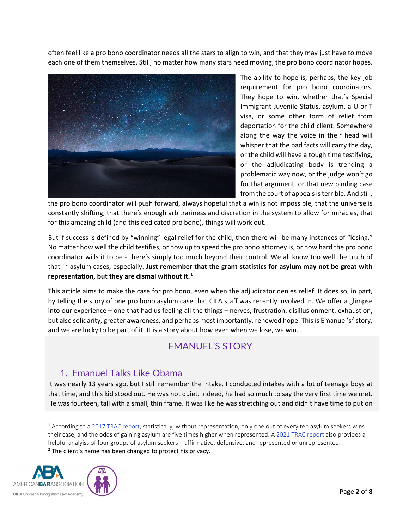often feel like a pro bono coordinator needs all the stars to align to win, and that they may just have to move each one of them themselves. Still, no matter how many stars need moving, the pro bono coordinator hopes.



The ability to hope is, perhaps, the key job requirement for pro bono coordinators. They hope to win, whether that's Special Immigrant Juvenile Status, asylum, a U or T visa, or some other form of relief from deportation for the child client. Somewhere along the way the voice in their head will whisper that the bad facts will carry the day, or the child will have a tough time testifying, or the adjudicating body is trending a problematic way now, or the judge won't go for that argument, or that new binding case from the court of appeals is terrible. And still,

the pro bono coordinator will push forward, always hopeful that a win is not impossible, that the universe is constantly shifting, that there's enough arbitrariness and discretion in the system to allow for miracles, that for this amazing child (and this dedicated pro bono), things will work out.

But if success is defined by "winning" legal relief for the child, then there will be many instances of "losing." No matter how well the child testifies, or how up to speed the pro bono attorney is, or how hard the pro bono coordinator wills it to be - there's simply too much beyond their control. We all know too well the truth of that in asylum cases, especially. **Just remember that the grant statistics for asylum may not be great with representation, but they are dismal without it.**[1](#page-1-0)

This article aims to make the case for pro bono, even when the adjudicator denies relief. It does so, in part, by telling the story of one pro bono asylum case that CILA staff was recently involved in. We offer a glimpse into our experience – one that had us feeling all the things – nerves, frustration, disillusionment, exhaustion, but also solidarity, greater awareness, and perhaps most importantly, renewed hope. This is Emanuel's<sup>[2](#page-1-1)</sup> story, and we are lucky to be part of it. It is a story about how even when we lose, we win.

# EMANUEL'S STORY

## 1. Emanuel Talks Like Obama

It was nearly 13 years ago, but I still remember the intake. I conducted intakes with a lot of teenage boys at that time, and this kid stood out. He was not quiet. Indeed, he had so much to say the very first time we met. He was fourteen, tall with a small, thin frame. It was like he was stretching out and didn't have time to put on

<span id="page-1-1"></span><span id="page-1-0"></span><sup>&</sup>lt;sup>1</sup> According to [a 2017 TRAC report,](https://trac.syr.edu/immigration/reports/491/) statistically, without representation, only one out of every ten asylum seekers wins their case, and the odds of gaining asylum are five times higher when represented. A [2021 TRAC report](https://trac.syr.edu/immigration/reports/667/) also provides a helpful analyiss of four groups of asylum seekers – affirmative, defensive, and represented or unrepresented. <sup>2</sup> The client's name has been changed to protect his privacy.

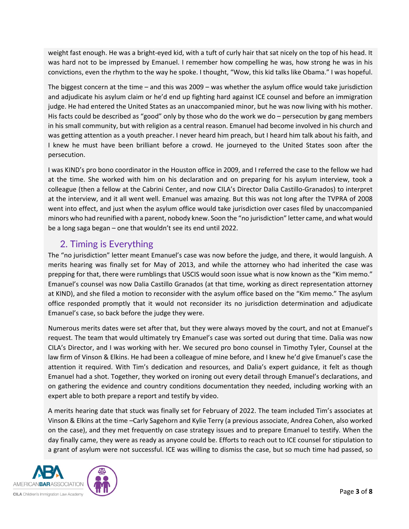weight fast enough. He was a bright-eyed kid, with a tuft of curly hair that sat nicely on the top of his head. It was hard not to be impressed by Emanuel. I remember how compelling he was, how strong he was in his convictions, even the rhythm to the way he spoke. I thought, "Wow, this kid talks like Obama." I was hopeful.

The biggest concern at the time – and this was 2009 – was whether the asylum office would take jurisdiction and adjudicate his asylum claim or he'd end up fighting hard against ICE counsel and before an immigration judge. He had entered the United States as an unaccompanied minor, but he was now living with his mother. His facts could be described as "good" only by those who do the work we do – persecution by gang members in his small community, but with religion as a central reason. Emanuel had become involved in his church and was getting attention as a youth preacher. I never heard him preach, but I heard him talk about his faith, and I knew he must have been brilliant before a crowd. He journeyed to the United States soon after the persecution.

I was KIND's pro bono coordinator in the Houston office in 2009, and I referred the case to the fellow we had at the time. She worked with him on his declaration and on preparing for his asylum interview, took a colleague (then a fellow at the Cabrini Center, and now CILA's Director Dalia Castillo-Granados) to interpret at the interview, and it all went well. Emanuel was amazing. But this was not long after the TVPRA of 2008 went into effect, and just when the asylum office would take jurisdiction over cases filed by unaccompanied minors who had reunified with a parent, nobody knew. Soon the "no jurisdiction" letter came, and what would be a long saga began – one that wouldn't see its end until 2022.

### 2. Timing is Everything

The "no jurisdiction" letter meant Emanuel's case was now before the judge, and there, it would languish. A merits hearing was finally set for May of 2013, and while the attorney who had inherited the case was prepping for that, there were rumblings that USCIS would soon issue what is now known as the "Kim memo." Emanuel's counsel was now Dalia Castillo Granados (at that time, working as direct representation attorney at KIND), and she filed a motion to reconsider with the asylum office based on the "Kim memo." The asylum office responded promptly that it would not reconsider its no jurisdiction determination and adjudicate Emanuel's case, so back before the judge they were.

Numerous merits dates were set after that, but they were always moved by the court, and not at Emanuel's request. The team that would ultimately try Emanuel's case was sorted out during that time. Dalia was now CILA's Director, and I was working with her. We secured pro bono counsel in Timothy Tyler, Counsel at the law firm of Vinson & Elkins. He had been a colleague of mine before, and I knew he'd give Emanuel's case the attention it required. With Tim's dedication and resources, and Dalia's expert guidance, it felt as though Emanuel had a shot. Together, they worked on ironing out every detail through Emanuel's declarations, and on gathering the evidence and country conditions documentation they needed, including working with an expert able to both prepare a report and testify by video.

A merits hearing date that stuck was finally set for February of 2022. The team included Tim's associates at Vinson & Elkins at the time –Carly Sagehorn and Kylie Terry (a previous associate, Andrea Cohen, also worked on the case), and they met frequently on case strategy issues and to prepare Emanuel to testify. When the day finally came, they were as ready as anyone could be. Efforts to reach out to ICE counsel for stipulation to a grant of asylum were not successful. ICE was willing to dismiss the case, but so much time had passed, so

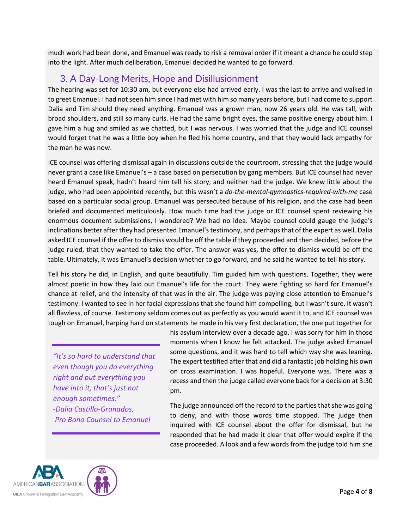much work had been done, and Emanuel was ready to risk a removal order if it meant a chance he could step into the light. After much deliberation, Emanuel decided he wanted to go forward.

### 3. A Day-Long Merits, Hope and Disillusionment

The hearing was set for 10:30 am, but everyone else had arrived early. I was the last to arrive and walked in to greet Emanuel. I had not seen him since I had met with him so many years before, but I had come to support Dalia and Tim should they need anything. Emanuel was a grown man, now 26 years old. He was tall, with broad shoulders, and still so many curls. He had the same bright eyes, the same positive energy about him. I gave him a hug and smiled as we chatted, but I was nervous. I was worried that the judge and ICE counsel would forget that he was a little boy when he fled his home country, and that they would lack empathy for the man he was now.

ICE counsel was offering dismissal again in discussions outside the courtroom, stressing that the judge would never grant a case like Emanuel's – a case based on persecution by gang members. But ICE counsel had never heard Emanuel speak, hadn't heard him tell his story, and neither had the judge. We knew little about the judge, who had been appointed recently, but this wasn't a *do-the-mental-gymnastics-required-with-me* case based on a particular social group. Emanuel was persecuted because of his religion, and the case had been briefed and documented meticulously. How much time had the judge or ICE counsel spent reviewing his enormous document submissions, I wondered? We had no idea. Maybe counsel could gauge the judge's inclinations better after they had presented Emanuel's testimony, and perhaps that of the expert as well. Dalia asked ICE counsel if the offer to dismiss would be off the table if they proceeded and then decided, before the judge ruled, that they wanted to take the offer. The answer was yes, the offer to dismiss would be off the table. Ultimately, it was Emanuel's decision whether to go forward, and he said he wanted to tell his story.

Tell his story he did, in English, and quite beautifully. Tim guided him with questions. Together, they were almost poetic in how they laid out Emanuel's life for the court. They were fighting so hard for Emanuel's chance at relief, and the intensity of that was in the air. The judge was paying close attention to Emanuel's testimony. I wanted to see in her facial expressions that she found him compelling, but I wasn't sure. It wasn't all flawless, of course. Testimony seldom comes out as perfectly as you would want it to, and ICE counsel was tough on Emanuel, harping hard on statements he made in his very first declaration, the one put together for

*"It's so hard to understand that even though you do everything right and put everything you have into it, that's just not enough sometimes." -Dalia Castillo-Granados, Pro Bono Counsel to Emanuel*

his asylum interview over a decade ago. I was sorry for him in those moments when I know he felt attacked. The judge asked Emanuel some questions, and it was hard to tell which way she was leaning. The expert testified after that and did a fantastic job holding his own on cross examination. I was hopeful. Everyone was. There was a recess and then the judge called everyone back for a decision at 3:30 pm.

The judge announced off the record to the parties that she was going to deny, and with those words time stopped. The judge then inquired with ICE counsel about the offer for dismissal, but he responded that he had made it clear that offer would expire if the case proceeded. A look and a few words from the judge told him she



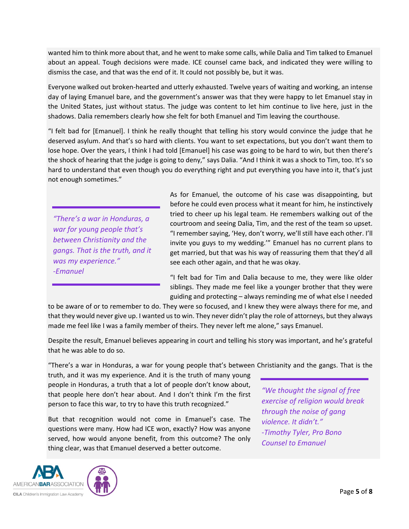wanted him to think more about that, and he went to make some calls, while Dalia and Tim talked to Emanuel about an appeal. Tough decisions were made. ICE counsel came back, and indicated they were willing to dismiss the case, and that was the end of it. It could not possibly be, but it was.

Everyone walked out broken-hearted and utterly exhausted. Twelve years of waiting and working, an intense day of laying Emanuel bare, and the government's answer was that they were happy to let Emanuel stay in the United States, just without status. The judge was content to let him continue to live here, just in the shadows. Dalia remembers clearly how she felt for both Emanuel and Tim leaving the courthouse.

"I felt bad for [Emanuel]. I think he really thought that telling his story would convince the judge that he deserved asylum. And that's so hard with clients. You want to set expectations, but you don't want them to lose hope. Over the years, I think I had told [Emanuel] his case was going to be hard to win, but then there's the shock of hearing that the judge is going to deny," says Dalia. "And I think it was a shock to Tim, too. It's so hard to understand that even though you do everything right and put everything you have into it, that's just not enough sometimes."

*"There's a war in Honduras, a war for young people that's between Christianity and the gangs. That is the truth, and it was my experience." -Emanuel* 

As for Emanuel, the outcome of his case was disappointing, but before he could even process what it meant for him, he instinctively tried to cheer up his legal team. He remembers walking out of the courtroom and seeing Dalia, Tim, and the rest of the team so upset. "I remember saying, 'Hey, don't worry, we'll still have each other. I'll invite you guys to my wedding.'" Emanuel has no current plans to get married, but that was his way of reassuring them that they'd all see each other again, and that he was okay.

"I felt bad for Tim and Dalia because to me, they were like older siblings. They made me feel like a younger brother that they were guiding and protecting – always reminding me of what else I needed

to be aware of or to remember to do. They were so focused, and I knew they were always there for me, and that they would never give up. I wanted us to win. They never didn't play the role of attorneys, but they always made me feel like I was a family member of theirs. They never left me alone," says Emanuel.

Despite the result, Emanuel believes appearing in court and telling his story was important, and he's grateful that he was able to do so.

"There's a war in Honduras, a war for young people that's between Christianity and the gangs. That is the

truth, and it was my experience. And it is the truth of many young people in Honduras, a truth that a lot of people don't know about, that people here don't hear about. And I don't think I'm the first person to face this war, to try to have this truth recognized."

But that recognition would not come in Emanuel's case. The questions were many. How had ICE won, exactly? How was anyone served, how would anyone benefit, from this outcome? The only thing clear, was that Emanuel deserved a better outcome.

*"We thought the signal of free exercise of religion would break through the noise of gang violence. It didn't." -Timothy Tyler, Pro Bono Counsel to Emanuel*

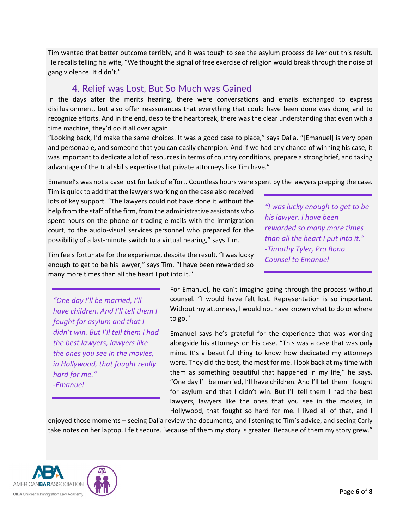Tim wanted that better outcome terribly, and it was tough to see the asylum process deliver out this result. He recalls telling his wife, "We thought the signal of free exercise of religion would break through the noise of gang violence. It didn't."

#### 4. Relief was Lost, But So Much was Gained

In the days after the merits hearing, there were conversations and emails exchanged to express disillusionment, but also offer reassurances that everything that could have been done was done, and to recognize efforts. And in the end, despite the heartbreak, there was the clear understanding that even with a time machine, they'd do it all over again.

"Looking back, I'd make the same choices. It was a good case to place," says Dalia. "[Emanuel] is very open and personable, and someone that you can easily champion. And if we had any chance of winning his case, it was important to dedicate a lot of resources in terms of country conditions, prepare a strong brief, and taking advantage of the trial skills expertise that private attorneys like Tim have."

Emanuel's was not a case lost for lack of effort. Countless hours were spent by the lawyers prepping the case.

Tim is quick to add that the lawyers working on the case also received lots of key support. "The lawyers could not have done it without the help from the staff of the firm, from the administrative assistants who spent hours on the phone or trading e-mails with the immigration court, to the audio-visual services personnel who prepared for the possibility of a last-minute switch to a virtual hearing," says Tim.

*"I was lucky enough to get to be his lawyer. I have been rewarded so many more times than all the heart I put into it." -Timothy Tyler, Pro Bono Counsel to Emanuel*

Tim feels fortunate for the experience, despite the result. "I was lucky enough to get to be his lawyer," says Tim. "I have been rewarded so many more times than all the heart I put into it."

*"One day I'll be married, I'll have children. And I'll tell them I fought for asylum and that I didn't win. But I'll tell them I had the best lawyers, lawyers like the ones you see in the movies, in Hollywood, that fought really hard for me." -Emanuel*

For Emanuel, he can't imagine going through the process without counsel. "I would have felt lost. Representation is so important. Without my attorneys, I would not have known what to do or where to go."

Emanuel says he's grateful for the experience that was working alongside his attorneys on his case. "This was a case that was only mine. It's a beautiful thing to know how dedicated my attorneys were. They did the best, the most for me. I look back at my time with them as something beautiful that happened in my life," he says. "One day I'll be married, I'll have children. And I'll tell them I fought for asylum and that I didn't win. But I'll tell them I had the best lawyers, lawyers like the ones that you see in the movies, in Hollywood, that fought so hard for me. I lived all of that, and I

enjoyed those moments – seeing Dalia review the documents, and listening to Tim's advice, and seeing Carly take notes on her laptop. I felt secure. Because of them my story is greater. Because of them my story grew."



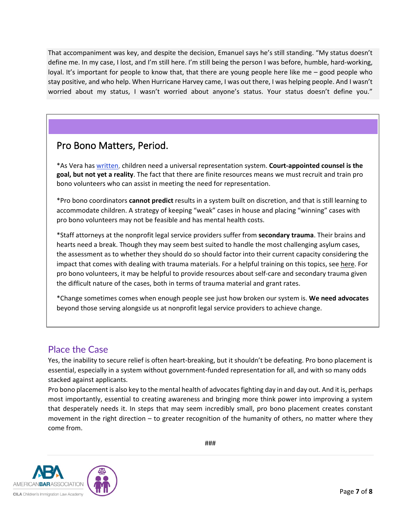That accompaniment was key, and despite the decision, Emanuel says he's still standing. "My status doesn't define me. In my case, I lost, and I'm still here. I'm still being the person I was before, humble, hard-working, loyal. It's important for people to know that, that there are young people here like me – good people who stay positive, and who help. When Hurricane Harvey came, I was out there, I was helping people. And I wasn't worried about my status, I wasn't worried about anyone's status. Your status doesn't define you."

## Pro Bono Matters, Period.

\*As Vera has [written,](https://www.vera.org/downloads/publications/representation-matters.pdf) children need a universal representation system. **Court-appointed counsel is the goal, but not yet a reality**. The fact that there are finite resources means we must recruit and train pro bono volunteers who can assist in meeting the need for representation.

\*Pro bono coordinators **cannot predict** results in a system built on discretion, and that is still learning to accommodate children. A strategy of keeping "weak" cases in house and placing "winning" cases with pro bono volunteers may not be feasible and has mental health costs.

\*Staff attorneys at the nonprofit legal service providers suffer from **secondary trauma**. Their brains and hearts need a break. Though they may seem best suited to handle the most challenging asylum cases, the assessment as to whether they should do so should factor into their current capacity considering the impact that comes with dealing with trauma materials. For a helpful training on this topics, see [here.](https://www.americanbar.org/groups/public_interest/immigration/events-and-cle/the-lifeguard-is-drowning-identifying-and-combating-burnout/) For pro bono volunteers, it may be helpful to provide resources about self-care and secondary trauma given the difficult nature of the cases, both in terms of trauma material and grant rates.

\*Change sometimes comes when enough people see just how broken our system is. **We need advocates** beyond those serving alongside us at nonprofit legal service providers to achieve change.

#### Place the Case

Yes, the inability to secure relief is often heart-breaking, but it shouldn't be defeating. Pro bono placement is essential, especially in a system without government-funded representation for all, and with so many odds stacked against applicants.

Pro bono placement is also key to the mental health of advocates fighting day in and day out. And it is, perhaps most importantly, essential to creating awareness and bringing more think power into improving a system that desperately needs it. In steps that may seem incredibly small, pro bono placement creates constant movement in the right direction – to greater recognition of the humanity of others, no matter where they come from.

###